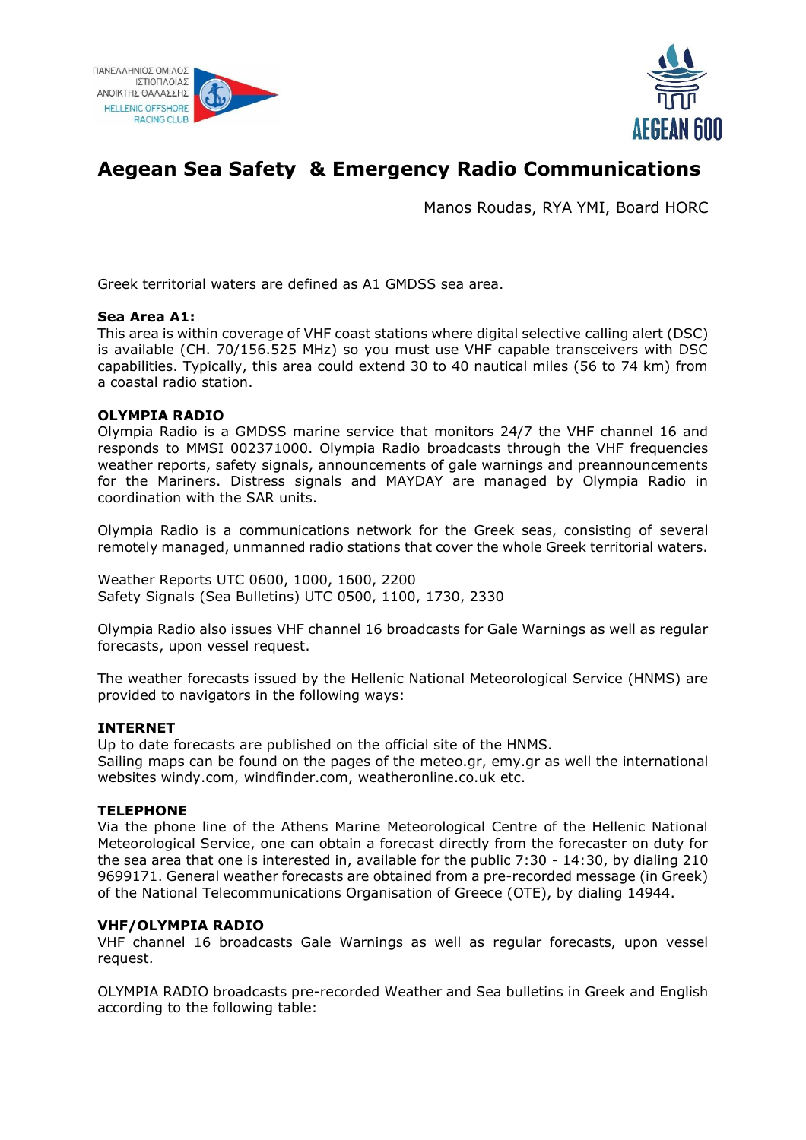



# **Aegean Sea Safety & Emergency Radio Communications**

Manos Roudas, RYA YMI, Board HORC

Greek territorial waters are defined as A1 GMDSS sea area.

### **Sea Area A1:**

This area is within coverage of VHF coast stations where digital selective calling alert (DSC) is available (CH. 70/156.525 MHz) so you must use VHF capable transceivers with DSC capabilities. Typically, this area could extend 30 to 40 nautical miles (56 to 74 km) from a coastal radio station.

## **OLYMPIA RADIO**

Olympia Radio is a GMDSS marine service that monitors 24/7 the VHF channel 16 and responds to MMSI 002371000. Olympia Radio broadcasts through the VHF frequencies weather reports, safety signals, announcements of gale warnings and preannouncements for the Mariners. Distress signals and MAYDAY are managed by Olympia Radio in coordination with the SAR units.

Olympia Radio is a communications network for the Greek seas, consisting of several remotely managed, unmanned radio stations that cover the whole Greek territorial waters.

Weather Reports UTC 0600, 1000, 1600, 2200 Safety Signals (Sea Bulletins) UTC 0500, 1100, 1730, 2330

Olympia Radio also issues VHF channel 16 broadcasts for Gale Warnings as well as regular forecasts, upon vessel request.

The weather forecasts issued by the Hellenic National Meteorological Service (HNMS) are provided to navigators in the following ways:

### **INTERNET**

Up to date forecasts are published on the official site of the HNMS. Sailing maps can be found on the pages of the meteo.gr, emy.gr as well the international websites windy.com, windfinder.com, weatheronline.co.uk etc.

### **TELEPHONE**

Via the phone line of the Athens Marine Meteorological Centre of the Hellenic National Meteorological Service, one can obtain a forecast directly from the forecaster on duty for the sea area that one is interested in, available for the public 7:30 - 14:30, by dialing 210 9699171. General weather forecasts are obtained from a pre-recorded message (in Greek) of the National Telecommunications Organisation of Greece (OTE), by dialing 14944.

### **VHF/OLYMPIA RADIO**

VHF channel 16 broadcasts Gale Warnings as well as regular forecasts, upon vessel request.

OLYMPIA RADIO broadcasts pre-recorded Weather and Sea bulletins in Greek and English according to the following table: